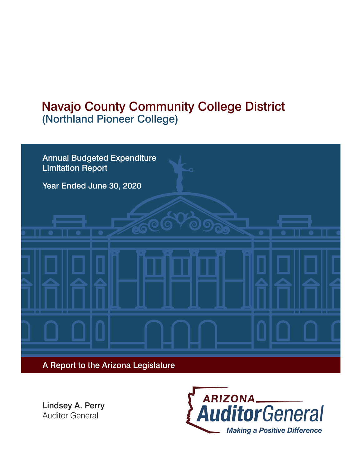# Navajo County Community College District (Northland Pioneer College)



Lindsey A. Perry Auditor General

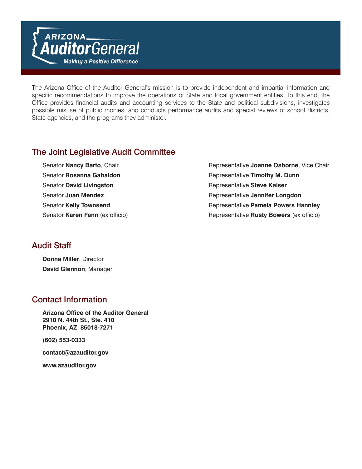The Arizona Office of the Auditor General's mission is to provide independent and impartial information and specific recommendations to improve the operations of State and local government entities. To this end, the Office provides financial audits and accounting services to the State and political subdivisions, investigates possible misuse of public monies, and conducts performance audits and special reviews of school districts, State agencies, and the programs they administer.

### The Joint Legislative Audit Committee

- Senator **David Livingston Representative Steve Kaiser Representative**
- Senator **Nancy Barto**, Chair **Representative Joanne Osborne**, Vice Chair Senator **Rosanna Gabaldon Representative Timothy M. Dunn** Senator **Juan Mendez** Representative **Jennifer Longdon** Senator Kelly Townsend **Representative Pamela Powers Hannley** Senator Karen Fann (ex officio) **Representative Rusty Bowers** (ex officio)

#### Audit Staff

**Donna Miller**, Director **David Glennon**, Manager

### Contact Information

**Arizona Office of the Auditor General 2910 N. 44th St., Ste. 410 Phoenix, AZ 85018-7271**

**(602) 553-0333**

**contact@azauditor.gov**

**www.azauditor.gov**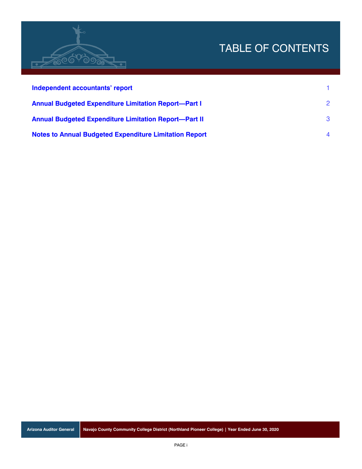# TABLE OF CONTENTS



| Independent accountants' report                               |                |
|---------------------------------------------------------------|----------------|
| <b>Annual Budgeted Expenditure Limitation Report-Part I</b>   | $\mathcal{P}$  |
| <b>Annual Budgeted Expenditure Limitation Report-Part II</b>  | $\mathcal{B}$  |
| <b>Notes to Annual Budgeted Expenditure Limitation Report</b> | $\overline{4}$ |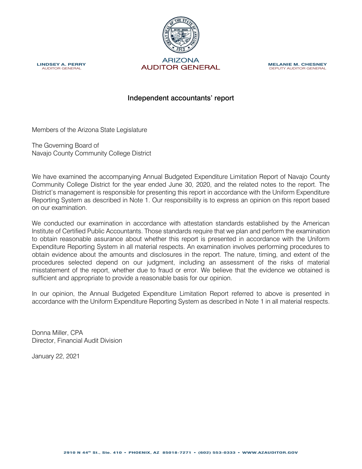<span id="page-3-0"></span>

**MELANIE M. CHESNEY** DEPUTY AUDITOR GENERAL



#### Independent accountants' report

Members of the Arizona State Legislature

The Governing Board of Navajo County Community College District

We have examined the accompanying Annual Budgeted Expenditure Limitation Report of Navajo County Community College District for the year ended June 30, 2020, and the related notes to the report. The District's management is responsible for presenting this report in accordance with the Uniform Expenditure Reporting System as described in Note 1. Our responsibility is to express an opinion on this report based on our examination.

We conducted our examination in accordance with attestation standards established by the American Institute of Certified Public Accountants. Those standards require that we plan and perform the examination to obtain reasonable assurance about whether this report is presented in accordance with the Uniform Expenditure Reporting System in all material respects. An examination involves performing procedures to obtain evidence about the amounts and disclosures in the report. The nature, timing, and extent of the procedures selected depend on our judgment, including an assessment of the risks of material misstatement of the report, whether due to fraud or error. We believe that the evidence we obtained is sufficient and appropriate to provide a reasonable basis for our opinion.

In our opinion, the Annual Budgeted Expenditure Limitation Report referred to above is presented in accordance with the Uniform Expenditure Reporting System as described in Note 1 in all material respects.

Donna Miller, CPA Director, Financial Audit Division

January 22, 2021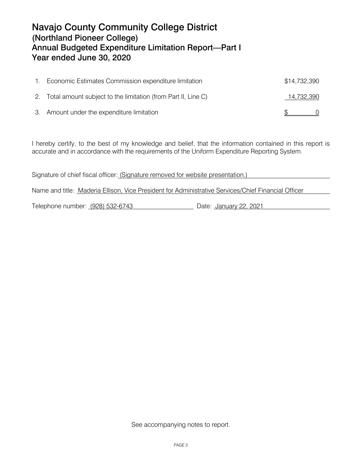## <span id="page-4-0"></span>Navajo County Community College District (Northland Pioneer College) Annual Budgeted Expenditure Limitation Report—Part I Year ended June 30, 2020

| Economic Estimates Commission expenditure limitation             | \$14,732,390 |  |
|------------------------------------------------------------------|--------------|--|
| 2. Total amount subject to the limitation (from Part II, Line C) | 14,732,390   |  |
| 3. Amount under the expenditure limitation                       |              |  |

I hereby certify, to the best of my knowledge and belief, that the information contained in this report is accurate and in accordance with the requirements of the Uniform Expenditure Reporting System.

Signature of chief fiscal officer: (Signature removed for website presentation.) Name and title: Maderia Ellison, Vice President for Administrative Services/Chief Financial Officer Telephone number: (928) 532-6743 Date: January 22, 2021

See accompanying notes to report.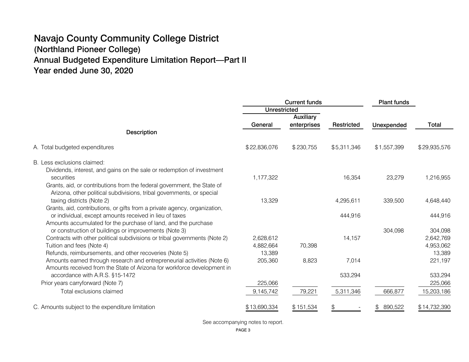## <span id="page-5-0"></span>Navajo County Community College District (Northland Pioneer College) Annual Budgeted Expenditure Limitation Report—Part II Year ended June 30, 2020

|                                                                            | <b>Current funds</b> |             | <b>Plant funds</b> |             |              |
|----------------------------------------------------------------------------|----------------------|-------------|--------------------|-------------|--------------|
|                                                                            | <b>Unrestricted</b>  |             |                    |             |              |
|                                                                            |                      | Auxiliary   |                    |             |              |
|                                                                            | General              | enterprises | Restricted         | Unexpended  | Total        |
| Description                                                                |                      |             |                    |             |              |
| A. Total budgeted expenditures                                             | \$22,836,076         | \$230,755   | \$5,311,346        | \$1,557,399 | \$29,935,576 |
| B. Less exclusions claimed:                                                |                      |             |                    |             |              |
| Dividends, interest, and gains on the sale or redemption of investment     |                      |             |                    |             |              |
| securities                                                                 | 1,177,322            |             | 16,354             | 23,279      | 1,216,955    |
| Grants, aid, or contributions from the federal government, the State of    |                      |             |                    |             |              |
| Arizona, other political subdivisions, tribal governments, or special      |                      |             |                    |             |              |
| taxing districts (Note 2)                                                  | 13,329               |             | 4,295,611          | 339,500     | 4,648,440    |
| Grants, aid, contributions, or gifts from a private agency, organization,  |                      |             |                    |             |              |
| or individual, except amounts received in lieu of taxes                    |                      |             | 444,916            |             | 444,916      |
| Amounts accumulated for the purchase of land, and the purchase             |                      |             |                    |             |              |
| or construction of buildings or improvements (Note 3)                      |                      |             |                    | 304,098     | 304,098      |
| Contracts with other political subdivisions or tribal governments (Note 2) | 2,628,612            |             | 14,157             |             | 2,642,769    |
| Tuition and fees (Note 4)                                                  | 4,882,664            | 70,398      |                    |             | 4,953,062    |
| Refunds, reimbursements, and other recoveries (Note 5)                     | 13,389               |             |                    |             | 13,389       |
| Amounts earned through research and entrepreneurial activities (Note 6)    | 205,360              | 8,823       | 7,014              |             | 221,197      |
| Amounts received from the State of Arizona for workforce development in    |                      |             |                    |             |              |
| accordance with A.R.S. §15-1472                                            |                      |             | 533,294            |             | 533,294      |
| Prior years carryforward (Note 7)                                          | 225,066              |             |                    |             | 225,066      |
| Total exclusions claimed                                                   | 9,145,742            | 79,221      | 5,311,346          | 666,877     | 15,203,186   |
| C. Amounts subject to the expenditure limitation                           | \$13,690,334         | \$151,534   | \$.                | 890,522     | \$14,732,390 |

See accompanying notes to report.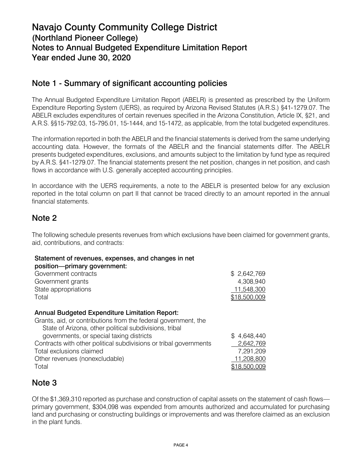## <span id="page-6-0"></span>Navajo County Community College District (Northland Pioneer College) Notes to Annual Budgeted Expenditure Limitation Report Year ended June 30, 2020

#### Note 1 - Summary of significant accounting policies

The Annual Budgeted Expenditure Limitation Report (ABELR) is presented as prescribed by the Uniform Expenditure Reporting System (UERS), as required by Arizona Revised Statutes (A.R.S.) §41‑1279.07. The ABELR excludes expenditures of certain revenues specified in the Arizona Constitution, Article IX, §21, and A.R.S. §§15-792.03, 15‑795.01, 15-1444, and 15-1472, as applicable, from the total budgeted expenditures.

The information reported in both the ABELR and the financial statements is derived from the same underlying accounting data. However, the formats of the ABELR and the financial statements differ. The ABELR presents budgeted expenditures, exclusions, and amounts subject to the limitation by fund type as required by A.R.S. §41-1279.07. The financial statements present the net position, changes in net position, and cash flows in accordance with U.S. generally accepted accounting principles.

In accordance with the UERS requirements, a note to the ABELR is presented below for any exclusion reported in the total column on part II that cannot be traced directly to an amount reported in the annual financial statements.

#### Note 2

The following schedule presents revenues from which exclusions have been claimed for government grants, aid, contributions, and contracts:

#### Statement of revenues, expenses, and changes in net

#### position—primary government:

| Government contracts                                              | \$2,642,769  |
|-------------------------------------------------------------------|--------------|
| Government grants                                                 | 4,308,940    |
| State appropriations                                              | 11,548,300   |
| Total                                                             | \$18,500,009 |
|                                                                   |              |
| <b>Annual Budgeted Expenditure Limitation Report:</b>             |              |
| Grants, aid, or contributions from the federal government, the    |              |
| State of Arizona, other political subdivisions, tribal            |              |
| governments, or special taxing districts                          | \$4,648,440  |
| Contracts with other political subdivisions or tribal governments | 2,642,769    |
| Total exclusions claimed                                          | 7,291,209    |
| Other revenues (nonexcludable)                                    | 11,208,800   |
| Total                                                             | \$18,500,009 |

#### Note 3

Of the \$1,369,310 reported as purchase and construction of capital assets on the statement of cash flows primary government, \$304,098 was expended from amounts authorized and accumulated for purchasing land and purchasing or constructing buildings or improvements and was therefore claimed as an exclusion in the plant funds.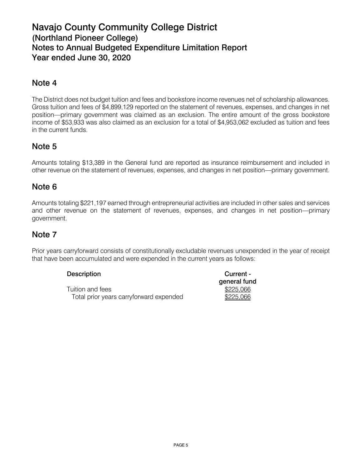## Navajo County Community College District (Northland Pioneer College) Notes to Annual Budgeted Expenditure Limitation Report Year ended June 30, 2020

#### Note 4

The District does not budget tuition and fees and bookstore income revenues net of scholarship allowances. Gross tuition and fees of \$4,899,129 reported on the statement of revenues, expenses, and changes in net position—primary government was claimed as an exclusion. The entire amount of the gross bookstore income of \$53,933 was also claimed as an exclusion for a total of \$4,953,062 excluded as tuition and fees in the current funds.

#### Note 5

Amounts totaling \$13,389 in the General fund are reported as insurance reimbursement and included in other revenue on the statement of revenues, expenses, and changes in net position—primary government.

#### Note 6

Amounts totaling \$221,197 earned through entrepreneurial activities are included in other sales and services and other revenue on the statement of revenues, expenses, and changes in net position—primary government.

#### Note 7

Prior years carryforward consists of constitutionally excludable revenues unexpended in the year of receipt that have been accumulated and were expended in the current years as follows:

| <b>Description</b>                      | Current -    |  |  |
|-----------------------------------------|--------------|--|--|
|                                         | general fund |  |  |
| Tuition and fees                        | \$225,066    |  |  |
| Total prior years carryforward expended | \$225,066    |  |  |